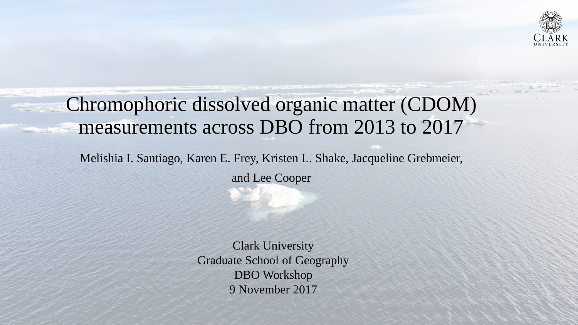

## Chromophoric dissolved organic matter (CDOM) measurements across DBO from 2013 to 2017

Melishia I. Santiago, Karen E. Frey, Kristen L. Shake, Jacqueline Grebmeier,

and Lee Cooper

Clark University Graduate School of Geography DBO Workshop 9 November 2017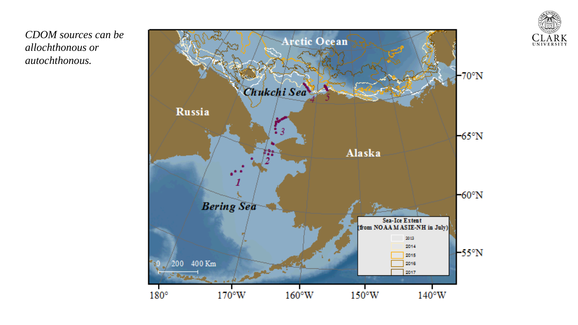

*CDOM sources can be allochthonous or autochthonous.*

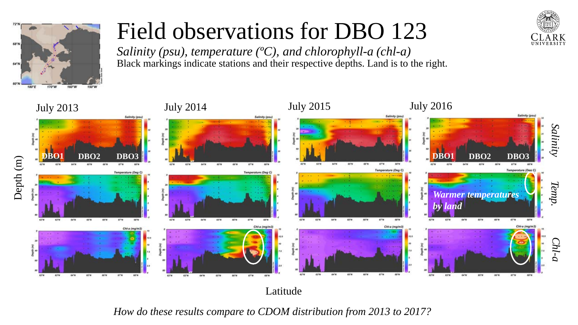

## Field observations for DBO 123

*Salinity (psu), temperature (ºC), and chlorophyll-a (chl-a)* Black markings indicate stations and their respective depths. Land is to the right.



Latitude

*How do these results compare to CDOM distribution from 2013 to 2017?*

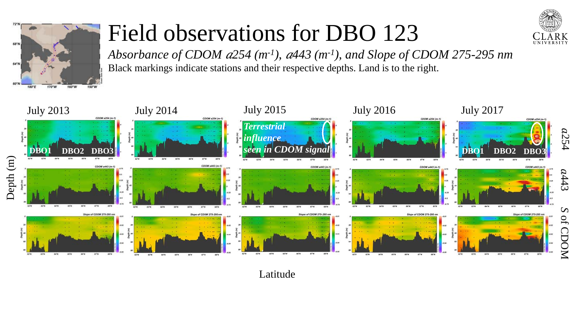

## Field observations for DBO 123



*Absorbance of CDOM 254 (m-1), 443 (m-1), and Slope of CDOM 275-295 nm* Black markings indicate stations and their respective depths. Land is to the right.



Latitude